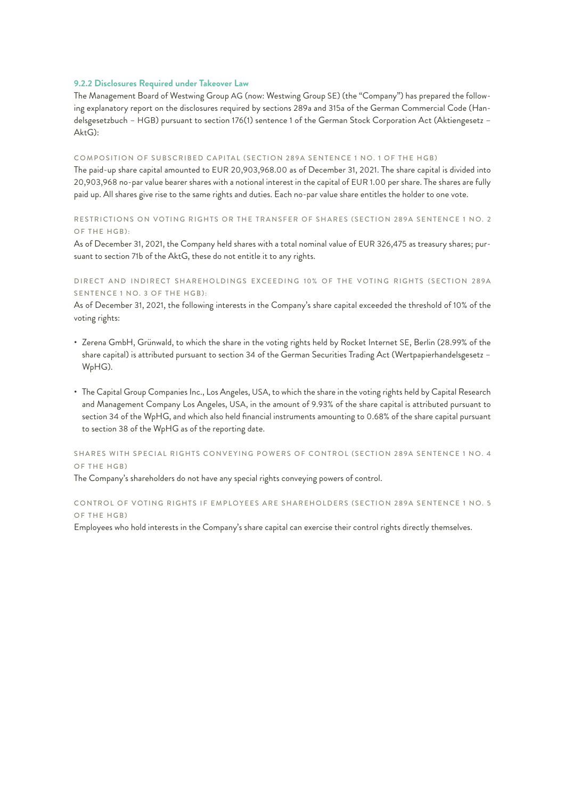# **9.2.2 Disclosures Required under Takeover Law**

The Management Board of Westwing Group AG (now: Westwing Group SE) (the "Company") has prepared the following explanatory report on the disclosures required by sections 289a and 315a of the German Commercial Code (Handelsgesetzbuch – HGB) pursuant to section 176(1) sentence 1 of the German Stock Corporation Act (Aktiengesetz – AktG):

#### COMPOSITION OF SUBSCRIBED CAPITAL (SECTION 289A SENTENCE 1 NO. 1 OF THE HGB)

The paid-up share capital amounted to EUR 20,903,968.00 as of December 31, 2021. The share capital is divided into 20,903,968 no-par value bearer shares with a notional interest in the capital of EUR 1.00 per share. The shares are fully paid up. All shares give rise to the same rights and duties. Each no-par value share entitles the holder to one vote.

# RESTRICTIONS ON VOTING RIGHTS OR THE TRANSFER OF SHARES (SECTION 289A SENTENCE 1 NO. 2 OF THE HGB):

As of December 31, 2021, the Company held shares with a total nominal value of EUR 326,475 as treasury shares; pursuant to section 71b of the AktG, these do not entitle it to any rights.

# DIRECT AND INDIRECT SHAREHOLDINGS EXCEEDING 10% OF THE VOTING RIGHTS (SECTION 289A SENTENCE 1 NO. 3 OF THE HGB):

As of December 31, 2021, the following interests in the Company's share capital exceeded the threshold of 10% of the voting rights:

- Zerena GmbH, Grünwald, to which the share in the voting rights held by Rocket Internet SE, Berlin (28.99% of the share capital) is attributed pursuant to section 34 of the German Securities Trading Act (Wertpapierhandelsgesetz – WpHG).
- The Capital Group Companies Inc., Los Angeles, USA, to which the share in the voting rights held by Capital Research and Management Company Los Angeles, USA, in the amount of 9.93% of the share capital is attributed pursuant to section 34 of the WpHG, and which also held financial instruments amounting to 0.68% of the share capital pursuant to section 38 of the WpHG as of the reporting date.

# SHARES WITH SPECIAL RIGHTS CONVEYING POWERS OF CONTROL (SECTION 289A SENTENCE 1 NO. 4 OF THE HGB)

The Company's shareholders do not have any special rights conveying powers of control.

# CONTROL OF VOTING RIGHTS IF EMPLOYEES ARE SHAREHOLDERS (SECTION 289A SENTENCE 1 NO. 5 OF THE HGB)

Employees who hold interests in the Company's share capital can exercise their control rights directly themselves.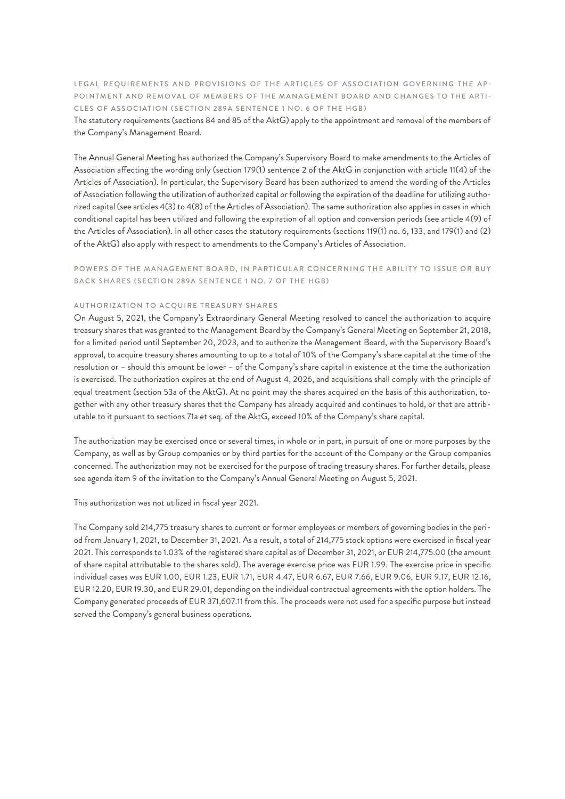LEGAL REQUIREMENTS AND PROVISIONS OF THE ARTICLES OF ASSOCIATION GOVERNING THE AP-POINTMENT AND REMOVAL OF MEMBERS OF THE MANAGEMENT BOARD AND CHANGES TO THE ARTI-CLES OF ASSOCIATION (SECTION 289A SENTENCE 1 NO. 6 OF THE HGB)

The statutory requirements (sections 84 and 85 of the AktG) apply to the appointment and removal of the members of the Company's Management Board.

The Annual General Meeting has authorized the Company's Supervisory Board to make amendments to the Articles of Association affecting the wording only (section 179(1) sentence 2 of the AktG in conjunction with article 11(4) of the Articles of Association). In particular, the Supervisory Board has been authorized to amend the wording of the Articles of Association following the utilization of authorized capital or following the expiration of the deadline for utilizing authorized capital (see articles 4(3) to 4(8) of the Articles of Association). The same authorization also applies in cases in which conditional capital has been utilized and following the expiration of all option and conversion periods (see article 4(9) of the Articles of Association). In all other cases the statutory requirements (sections 119(1) no. 6, 133, and 179(1) and (2) of the AktG) also apply with respect to amendments to the Company's Articles of Association.

# POWERS OF THE MANAGEMENT BOARD, IN PARTICULAR CONCERNING THE ABILITY TO ISSUE OR BUY BACK SHARES (SECTION 289A SENTENCE 1 NO. 7 OF THE HGB)

# AUTHORIZATION TO ACQUIRE TREASURY SHARES

On August 5, 2021, the Company's Extraordinary General Meeting resolved to cancel the authorization to acquire treasury shares that was granted to the Management Board by the Company's General Meeting on September 21, 2018, for a limited period until September 20, 2023, and to authorize the Management Board, with the Supervisory Board's approval, to acquire treasury shares amounting to up to a total of 10% of the Company's share capital at the time of the resolution or – should this amount be lower – of the Company's share capital in existence at the time the authorization is exercised. The authorization expires at the end of August 4, 2026, and acquisitions shall comply with the principle of equal treatment (section 53a of the AktG). At no point may the shares acquired on the basis of this authorization, together with any other treasury shares that the Company has already acquired and continues to hold, or that are attributable to it pursuant to sections 71a et seq. of the AktG, exceed 10% of the Company's share capital.

The authorization may be exercised once or several times, in whole or in part, in pursuit of one or more purposes by the Company, as well as by Group companies or by third parties for the account of the Company or the Group companies concerned. The authorization may not be exercised for the purpose of trading treasury shares. For further details, please see agenda item 9 of the invitation to the Company's Annual General Meeting on August 5, 2021.

This authorization was not utilized in fiscal year 2021.

The Company sold 214,775 treasury shares to current or former employees or members of governing bodies in the period from January 1, 2021, to December 31, 2021. As a result, a total of 214,775 stock options were exercised in fiscal year 2021. This corresponds to 1.03% of the registered share capital as of December 31, 2021, or EUR 214,775.00 (the amount of share capital attributable to the shares sold). The average exercise price was EUR 1.99. The exercise price in specific individual cases was EUR 1.00, EUR 1.23, EUR 1.71, EUR 4.47, EUR 6.67, EUR 7.66, EUR 9.06, EUR 9.17, EUR 12.16, EUR 12.20, EUR 19.30, and EUR 29.01, depending on the individual contractual agreements with the option holders. The Company generated proceeds of EUR 371,607.11 from this. The proceeds were not used for a specific purpose but instead served the Company's general business operations.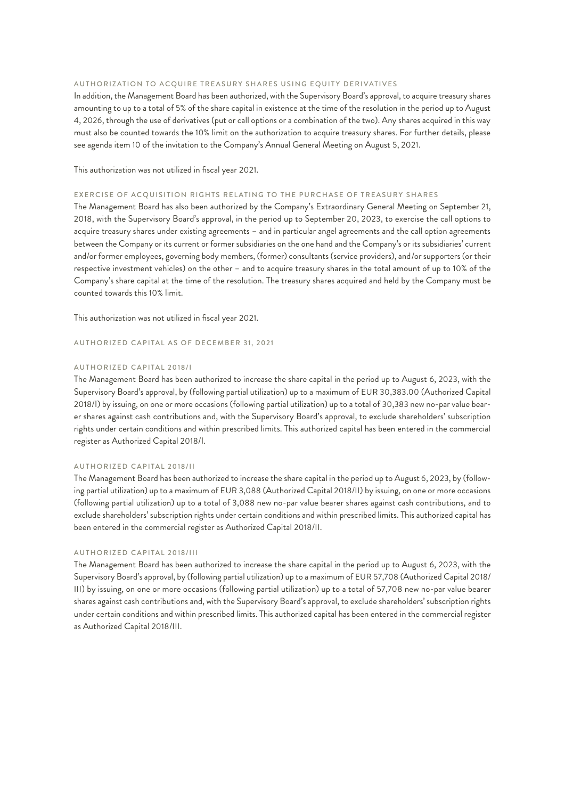### AUTHORIZATION TO ACQUIRE TREASURY SHARES USING EQUITY DERIVATIVES

In addition, the Management Board has been authorized, with the Supervisory Board's approval, to acquire treasury shares amounting to up to a total of 5% of the share capital in existence at the time of the resolution in the period up to August 4, 2026, through the use of derivatives (put or call options or a combination of the two). Any shares acquired in this way must also be counted towards the 10% limit on the authorization to acquire treasury shares. For further details, please see agenda item 10 of the invitation to the Company's Annual General Meeting on August 5, 2021.

This authorization was not utilized in fiscal year 2021.

#### EXERCISE OF ACQUISITION RIGHTS RELATING TO THE PURCHASE OF TREASURY SHARES

The Management Board has also been authorized by the Company's Extraordinary General Meeting on September 21, 2018, with the Supervisory Board's approval, in the period up to September 20, 2023, to exercise the call options to acquire treasury shares under existing agreements – and in particular angel agreements and the call option agreements between the Company or its current or former subsidiaries on the one hand and the Company's or its subsidiaries' current and/or former employees, governing body members, (former) consultants (service providers), and/or supporters (or their respective investment vehicles) on the other – and to acquire treasury shares in the total amount of up to 10% of the Company's share capital at the time of the resolution. The treasury shares acquired and held by the Company must be counted towards this 10% limit.

This authorization was not utilized in fiscal year 2021.

AUTHORIZED CAPITAL AS OF DECEMBER 31, 2021

## AUTHORIZED CAPITAL 2018/I

The Management Board has been authorized to increase the share capital in the period up to August 6, 2023, with the Supervisory Board's approval, by (following partial utilization) up to a maximum of EUR 30,383.00 (Authorized Capital 2018/I) by issuing, on one or more occasions (following partial utilization) up to a total of 30,383 new no-par value bearer shares against cash contributions and, with the Supervisory Board's approval, to exclude shareholders' subscription rights under certain conditions and within prescribed limits. This authorized capital has been entered in the commercial register as Authorized Capital 2018/I.

### AUTHORIZED CAPITAL 2018/II

The Management Board has been authorized to increase the share capital in the period up to August 6, 2023, by (following partial utilization) up to a maximum of EUR 3,088 (Authorized Capital 2018/II) by issuing, on one or more occasions (following partial utilization) up to a total of 3,088 new no-par value bearer shares against cash contributions, and to exclude shareholders' subscription rights under certain conditions and within prescribed limits. This authorized capital has been entered in the commercial register as Authorized Capital 2018/II.

### AUTHORIZED CAPITAL 2018/III

The Management Board has been authorized to increase the share capital in the period up to August 6, 2023, with the Supervisory Board's approval, by (following partial utilization) up to a maximum of EUR 57,708 (Authorized Capital 2018/ III) by issuing, on one or more occasions (following partial utilization) up to a total of 57,708 new no-par value bearer shares against cash contributions and, with the Supervisory Board's approval, to exclude shareholders' subscription rights under certain conditions and within prescribed limits. This authorized capital has been entered in the commercial register as Authorized Capital 2018/III.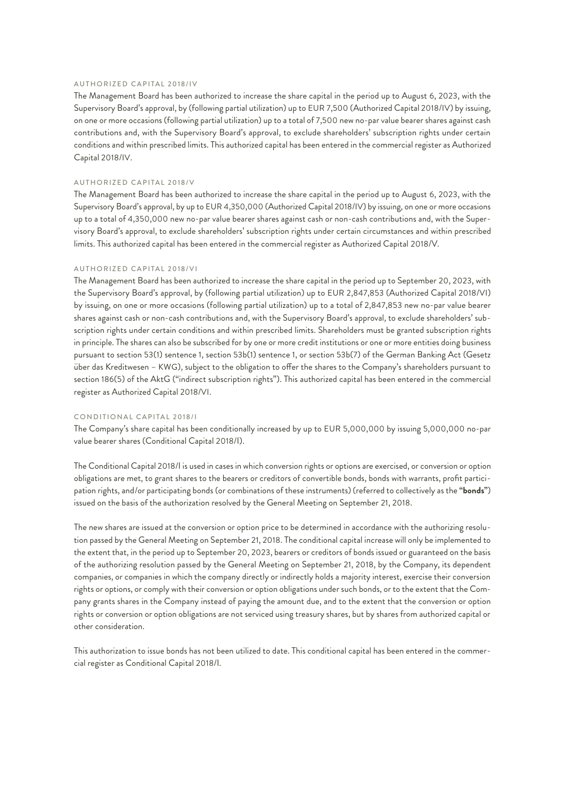### AUTHORIZED CAPITAL 2018/IV

The Management Board has been authorized to increase the share capital in the period up to August 6, 2023, with the Supervisory Board's approval, by (following partial utilization) up to EUR 7,500 (Authorized Capital 2018/IV) by issuing, on one or more occasions (following partial utilization) up to a total of 7,500 new no-par value bearer shares against cash contributions and, with the Supervisory Board's approval, to exclude shareholders' subscription rights under certain conditions and within prescribed limits. This authorized capital has been entered in the commercial register as Authorized Capital 2018/IV.

# AUTHORIZED CAPITAL 2018/V

The Management Board has been authorized to increase the share capital in the period up to August 6, 2023, with the Supervisory Board's approval, by up to EUR 4,350,000 (Authorized Capital 2018/IV) by issuing, on one or more occasions up to a total of 4,350,000 new no-par value bearer shares against cash or non-cash contributions and, with the Supervisory Board's approval, to exclude shareholders' subscription rights under certain circumstances and within prescribed limits. This authorized capital has been entered in the commercial register as Authorized Capital 2018/V.

## AUTHORIZED CAPITAL 2018/VI

The Management Board has been authorized to increase the share capital in the period up to September 20, 2023, with the Supervisory Board's approval, by (following partial utilization) up to EUR 2,847,853 (Authorized Capital 2018/VI) by issuing, on one or more occasions (following partial utilization) up to a total of 2,847,853 new no-par value bearer shares against cash or non-cash contributions and, with the Supervisory Board's approval, to exclude shareholders' subscription rights under certain conditions and within prescribed limits. Shareholders must be granted subscription rights in principle. The shares can also be subscribed for by one or more credit institutions or one or more entities doing business pursuant to section 53(1) sentence 1, section 53b(1) sentence 1, or section 53b(7) of the German Banking Act (Gesetz über das Kreditwesen – KWG), subject to the obligation to offer the shares to the Company's shareholders pursuant to section 186(5) of the AktG ("indirect subscription rights"). This authorized capital has been entered in the commercial register as Authorized Capital 2018/VI.

## CONDITIONAL CAPITAL 2018/I

The Company's share capital has been conditionally increased by up to EUR 5,000,000 by issuing 5,000,000 no-par value bearer shares (Conditional Capital 2018/I).

The Conditional Capital 2018/I is used in cases in which conversion rights or options are exercised, or conversion or option obligations are met, to grant shares to the bearers or creditors of convertible bonds, bonds with warrants, profit participation rights, and/or participating bonds (or combinations of these instruments) (referred to collectively as the **"bonds"**) issued on the basis of the authorization resolved by the General Meeting on September 21, 2018.

The new shares are issued at the conversion or option price to be determined in accordance with the authorizing resolution passed by the General Meeting on September 21, 2018. The conditional capital increase will only be implemented to the extent that, in the period up to September 20, 2023, bearers or creditors of bonds issued or guaranteed on the basis of the authorizing resolution passed by the General Meeting on September 21, 2018, by the Company, its dependent companies, or companies in which the company directly or indirectly holds a majority interest, exercise their conversion rights or options, or comply with their conversion or option obligations under such bonds, or to the extent that the Company grants shares in the Company instead of paying the amount due, and to the extent that the conversion or option rights or conversion or option obligations are not serviced using treasury shares, but by shares from authorized capital or other consideration.

This authorization to issue bonds has not been utilized to date. This conditional capital has been entered in the commercial register as Conditional Capital 2018/I.